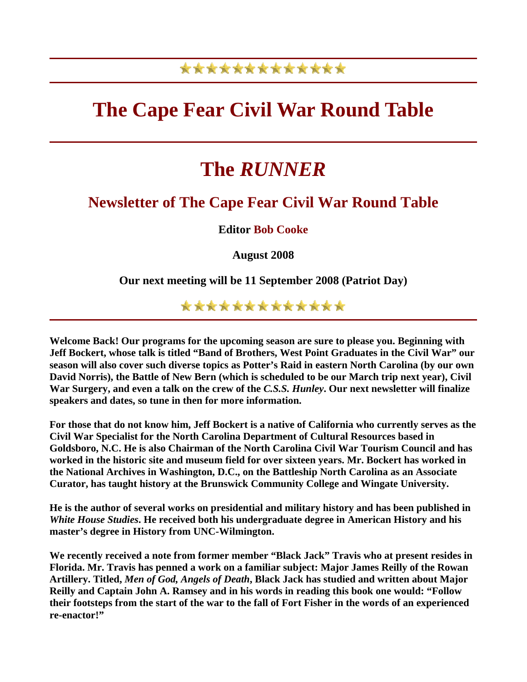## \*\*\*\*\*\*\*\*\*\*\*\*\*

## **The Cape Fear Civil War Round Table**

## **The** *RUNNER*

## **Newsletter of The Cape Fear Civil War Round Table**

**Editor Bob Cooke**

**August 2008** 

**Our next meeting will be 11 September 2008 (Patriot Day)** 

\*\*\*\*\*\*\*\*\*\*\*\*\*

**Welcome Back! Our programs for the upcoming season are sure to please you. Beginning with Jeff Bockert, whose talk is titled "Band of Brothers, West Point Graduates in the Civil War" our season will also cover such diverse topics as Potter's Raid in eastern North Carolina (by our own David Norris), the Battle of New Bern (which is scheduled to be our March trip next year), Civil War Surgery, and even a talk on the crew of the** *C.S.S. Hunley***. Our next newsletter will finalize speakers and dates, so tune in then for more information.** 

**For those that do not know him, Jeff Bockert is a native of California who currently serves as the Civil War Specialist for the North Carolina Department of Cultural Resources based in Goldsboro, N.C. He is also Chairman of the North Carolina Civil War Tourism Council and has worked in the historic site and museum field for over sixteen years. Mr. Bockert has worked in the National Archives in Washington, D.C., on the Battleship North Carolina as an Associate Curator, has taught history at the Brunswick Community College and Wingate University.** 

**He is the author of several works on presidential and military history and has been published in**  *White House Studies***. He received both his undergraduate degree in American History and his master's degree in History from UNC-Wilmington.** 

**We recently received a note from former member "Black Jack" Travis who at present resides in Florida. Mr. Travis has penned a work on a familiar subject: Major James Reilly of the Rowan Artillery. Titled,** *Men of God, Angels of Death***, Black Jack has studied and written about Major Reilly and Captain John A. Ramsey and in his words in reading this book one would: "Follow their footsteps from the start of the war to the fall of Fort Fisher in the words of an experienced re-enactor!"**